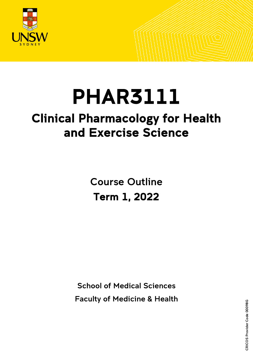

# PHAR3111

## Clinical Pharmacology for Health and Exercise Science

Course Outline Term 1, 2022

School of Medical Sciences Faculty of Medicine & Health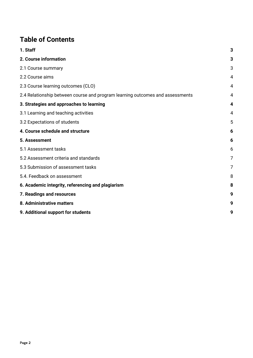## **Table of Contents**

| 1. Staff                                                                      | 3 |
|-------------------------------------------------------------------------------|---|
| 2. Course information                                                         | 3 |
| 2.1 Course summary                                                            | 3 |
| 2.2 Course aims                                                               | 4 |
| 2.3 Course learning outcomes (CLO)                                            | 4 |
| 2.4 Relationship between course and program learning outcomes and assessments | 4 |
| 3. Strategies and approaches to learning                                      | 4 |
| 3.1 Learning and teaching activities                                          | 4 |
| 3.2 Expectations of students                                                  | 5 |
| 4. Course schedule and structure                                              | 6 |
| 5. Assessment                                                                 | 6 |
| 5.1 Assessment tasks                                                          | 6 |
| 5.2 Assessment criteria and standards                                         | 7 |
| 5.3 Submission of assessment tasks                                            | 7 |
| 5.4. Feedback on assessment                                                   | 8 |
| 6. Academic integrity, referencing and plagiarism                             | 8 |
| 7. Readings and resources                                                     | 9 |
| 8. Administrative matters                                                     | 9 |
| 9. Additional support for students                                            | g |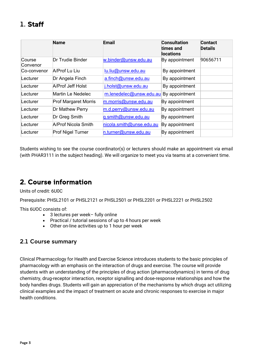## <span id="page-2-0"></span>1. Staff

|                    | <b>Name</b>                 | Email                    | <b>Consultation</b><br>times and<br>locations | <b>Contact</b><br><b>Details</b> |
|--------------------|-----------------------------|--------------------------|-----------------------------------------------|----------------------------------|
| Course<br>Convenor | Dr Trudie Binder            | w.binder@unsw.edu.au     | By appointment                                | 90656711                         |
| Co-convenor        | A/Prof Lu Liu               | lu.liu@unsw.edu.au       | By appointment                                |                                  |
| Lecturer           | Dr Angela Finch             | a.finch@unsw.edu.au      | By appointment                                |                                  |
| Lecturer           | A/Prof Jeff Holst           | j.holst@unsw.edu.au      | By appointment                                |                                  |
| Lecturer           | <b>Martin Le Nedelec</b>    | m.lenedelec@unsw.edu.au  | By appointment                                |                                  |
| Lecturer           | <b>Prof Margaret Morris</b> | m.morris@unsw.edu.au     | By appointment                                |                                  |
| Lecturer           | Dr Mathew Perry             | m.d.perry@unsw.edu.au    | By appointment                                |                                  |
| Lecturer           | Dr Greg Smith               | g.smith@unsw.edu.au      | By appointment                                |                                  |
| Lecturer           | A/Prof Nicola Smith         | nicola.smith@unse.edu.au | By appointment                                |                                  |
| Lecturer           | <b>Prof Nigel Turner</b>    | n.turner@unsw.edu.au     | By appointment                                |                                  |

Students wishing to see the course coordinator(s) or lecturers should make an appointment *via* email (with PHAR3111 in the subject heading). We will organize to meet you via teams at a convenient time.

## <span id="page-2-1"></span>2. Course information

Units of credit: 6U0C

Prerequisite: PHSL2101 or PHSL2121 or PHSL2501 or PHSL2201 or PHSL2221 or PHSL2502

This 6UOC consists of:

- 3 lectures per week– fully online
- Practical / tutorial sessions of up to 4 hours per week
- Other on-line activities up to 1 hour per week

#### <span id="page-2-2"></span>2.1 Course summary

Clinical Pharmacology for Health and Exercise Science introduces students to the basic principles of pharmacology with an emphasis on the interaction of drugs and exercise. The course will provide students with an understanding of the principles of drug action (pharmacodynamics) in terms of drug chemistry, drug-receptor interaction, receptor signalling and dose-response relationships and how the body handles drugs. Students will gain an appreciation of the mechanisms by which drugs act utilizing clinical examples and the impact of treatment on acute and chronic responses to exercise in major health conditions.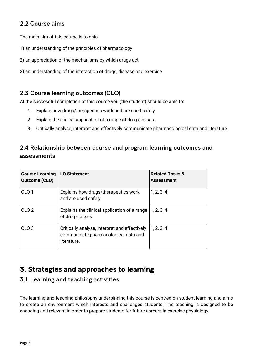#### <span id="page-3-0"></span>2.2 Course aims

The main aim of this course is to gain:

- 1) an understanding of the principles of pharmacology
- 2) an appreciation of the mechanisms by which drugs act
- 3) an understanding of the interaction of drugs, disease and exercise

#### <span id="page-3-1"></span>2.3 Course learning outcomes (CLO)

At the successful completion of this course you (the student) should be able to:

- 1. Explain how drugs/therapeutics work and are used safely
- 2. Explain the clinical application of a range of drug classes.
- 3. Critically analyse, interpret and effectively communicate pharmacological data and literature.

#### <span id="page-3-2"></span>2.4 Relationship between course and program learning outcomes and assessments

| <b>Course Learning</b><br>Outcome (CLO) | <b>LO Statement</b>                                                                                  | <b>Related Tasks &amp;</b><br><b>Assessment</b> |
|-----------------------------------------|------------------------------------------------------------------------------------------------------|-------------------------------------------------|
| CLO <sub>1</sub>                        | Explains how drugs/therapeutics work<br>and are used safely                                          | 1, 2, 3, 4                                      |
| CLO <sub>2</sub>                        | Explains the clinical application of a range<br>of drug classes.                                     | 1, 2, 3, 4                                      |
| CLO <sub>3</sub>                        | Critically analyse, interpret and effectively<br>communicate pharmacological data and<br>literature. | 1, 2, 3, 4                                      |

## <span id="page-3-3"></span>3. Strategies and approaches to learning

#### <span id="page-3-4"></span>3.1 Learning and teaching activities

The learning and teaching philosophy underpinning this course is centred on student learning and aims to create an environment which interests and challenges students. The teaching is designed to be engaging and relevant in order to prepare students for future careers in exercise physiology.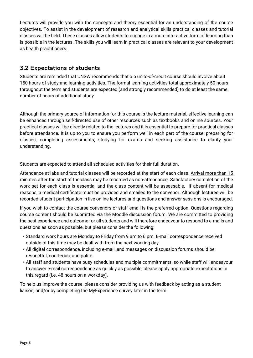Lectures will provide you with the concepts and theory essential for an understanding of the course objectives. To assist in the development of research and analytical skills practical classes and tutorial classes will be held. These classes allow students to engage in a more interactive form of learning than is possible in the lectures. The skills you will learn in practical classes are relevant to your development as health practitioners.

#### <span id="page-4-0"></span>3.2 Expectations of students

Students are reminded that UNSW recommends that a 6 units-of-credit course should involve about 150 hours of study and learning activities. The formal learning activities total approximately 50 hours throughout the term and students are expected (and strongly recommended) to do at least the same number of hours of additional study.

Although the primary source of information for this course is the lecture material, effective learning can be enhanced through self-directed use of other resources such as textbooks and online sources. Your practical classes will be directly related to the lectures and it is essential to prepare for practical classes before attendance. It is up to you to ensure you perform well in each part of the course; preparing for classes; completing assessments; studying for exams and seeking assistance to clarify your understanding.

Students are expected to attend all scheduled activities for their full duration.

Attendance at labs and tutorial classes will be recorded at the start of each class. Arrival more than 15 minutes after the start of the class may be recorded as non-attendance. Satisfactory completion of the work set for each class is essential and the class content will be assessable. If absent for medical reasons, a medical certificate must be provided and emailed to the convenor. Although lectures will be recorded student participation in live online lectures and questions and answer sessions is encouraged.

If you wish to contact the course convenors or staff email is the preferred option. Questions regarding course content should be submitted via the Moodle discussion forum. We are committed to providing the best experience and outcome for all students and will therefore endeavour to respond to e-mails and questions as soon as possible, but please consider the following:

- Standard work hours are Monday to Friday from 9 am to 6 pm. E-mail correspondence received outside of this time may be dealt with from the next working day.
- All digital correspondence, including e-mail, and messages on discussion forums should be respectful, courteous, and polite.
- All staff and students have busy schedules and multiple commitments, so while staff will endeavour to answer e-mail correspondence as quickly as possible, please apply appropriate expectations in this regard (i.e. 48 hours on a workday).

To help us improve the course, please consider providing us with feedback by acting as a student liaison, and/or by completing the MyExperience survey later in the term.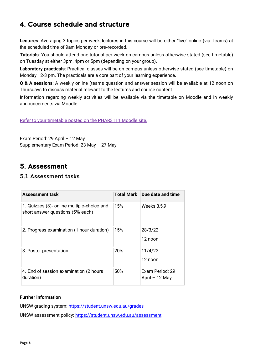## <span id="page-5-0"></span>4. Course schedule and structure

**Lectures**: Averaging 3 topics per week, lectures in this course will be either "live" online (via Teams) at the scheduled time of 9am Monday or pre-recorded.

**Tutorials**: You should attend one tutorial per week on campus unless otherwise stated (see timetable) on Tuesday at either 3pm, 4pm or 5pm (depending on your group).

**Laboratory practicals**: Practical classes will be on campus unless otherwise stated (see timetable) on Monday 12-3 pm. The practicals are a core part of your learning experience.

**Q & A sessions**: A weekly online (teams question and answer session will be available at 12 noon on Thursdays to discuss material relevant to the lectures and course content.

Information regarding weekly activities will be available via the timetable on Moodle and in weekly announcements via Moodle.

[Refer to your timetable posted on the PHAR3111 Moodle site.](https://moodle.telt.unsw.edu.au/pluginfile.php/7737138/mod_resource/content/0/PHAR3111%20timetable%202022%20final.pdf)

Exam Period: 29 April – 12 May Supplementary Exam Period: 23 May – 27 May

## <span id="page-5-1"></span>5. Assessment

#### <span id="page-5-2"></span>5.1 Assessment tasks

| <b>Assessment task</b>                                                         | Total Mark | Due date and time                  |
|--------------------------------------------------------------------------------|------------|------------------------------------|
| 1. Quizzes (3)- online multiple-choice and<br>short answer questions (5% each) | 15%        | Weeks 3,5,9                        |
| 2. Progress examination (1 hour duration)                                      | 15%        | 28/3/22<br>12 noon                 |
| 3. Poster presentation                                                         | 20%        | 11/4/22<br>12 noon                 |
| 4. End of session examination (2 hours<br>duration)                            | 50%        | Exam Period: 29<br>April $-12$ May |

#### **Further information**

UNSW grading system:<https://student.unsw.edu.au/grades>

UNSW assessment policy:<https://student.unsw.edu.au/assessment>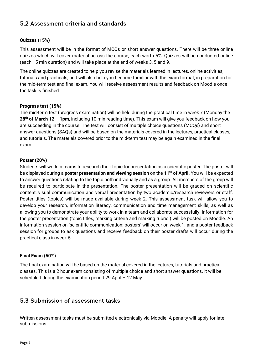#### <span id="page-6-0"></span>5.2 Assessment criteria and standards

#### **Quizzes (15%)**

This assessment will be in the format of MCQs or short answer questions. There will be three online quizzes which will cover material across the course, each worth 5%. Quizzes will be conducted online (each 15 min duration) and will take place at the end of weeks 3, 5 and 9.

The online quizzes are created to help you revise the materials learned in lectures, online activities, tutorials and practicals, and will also help you become familiar with the exam format, in preparation for the mid-term test and final exam. You will receive assessment results and feedback on Moodle once the task is finished.

#### **Progress test (15%)**

The mid-term test (progress examination) will be held during the practical time in week 7 (Monday the **28th of March 12 – 1pm**, including 10 min reading time). This exam will give you feedback on how you are succeeding in the course. The test will consist of multiple choice questions (MCQs) and short answer questions (SAQs) and will be based on the materials covered in the lectures, practical classes, and tutorials. The materials covered prior to the mid-term test may be again examined in the final exam.

#### **Poster (20%)**

Students will work in teams to research their topic for presentation as a scientific poster. The poster will be displayed during a **poster presentation and viewing session** on the **11th of April.** You will be expected to answer questions relating to the topic both individually and as a group. All members of the group will be required to participate in the presentation. The poster presentation will be graded on scientific content, visual communication and verbal presentation by two academic/research reviewers or staff. Poster titles (topics) will be made available during week 2. This assessment task will allow you to develop your research, information literacy, communication and time management skills, as well as allowing you to demonstrate your ability to work in a team and collaborate successfully. Information for the poster presentation (topic titles, marking criteria and marking rubric.) will be posted on Moodle. An information session on 'scientific communication: posters' will occur on week 1. and a poster feedback session for groups to ask questions and receive feedback on their poster drafts will occur during the practical class in week 5.

#### **Final Exam (50%)**

The final examination will be based on the material covered in the lectures, tutorials and practical classes. This is a 2 hour exam consisting of multiple choice and short answer questions. It will be scheduled during the examination period 29 April – 12 May

#### <span id="page-6-1"></span>5.3 Submission of assessment tasks

Written assessment tasks must be submitted electronically via Moodle. A penalty will apply for late submissions.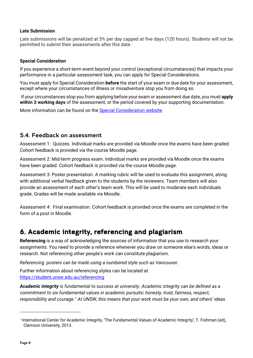#### **Late Submission**

Late submissions will be penalized at 5% per day capped at five days (120 hours). Students will not be permitted to submit their assessments after this date.

#### **Special Consideration**

If you experience a short-term event beyond your control (exceptional circumstances) that impacts your performance in a particular assessment task, you can apply for Special Considerations.

You must apply for Special Consideration **before** the start of your exam or due date for your assessment, except where your circumstances of illness or misadventure stop you from doing so.

If your circumstances stop you from applying before your exam or assessment due date, you must **apply within 3 working days** of the assessment, or the period covered by your supporting documentation.

More information can be found on the [Special Consideration website.](https://www.student.unsw.edu.au/special-consideration)

#### <span id="page-7-0"></span>5.4. Feedback on assessment

Assessment 1: Quizzes. Individual marks are provided via Moodle once the exams have been graded. Cohort feedback is provided via the course Moodle page.

Assessment 2: Mid-term progress exam. Individual marks are provided via Moodle once the exams have been graded. Cohort feedback is provided via the course Moodle page.

Assessment 3: Poster presentation. A marking rubric will be used to evaluate this assignment, along with additional verbal feedback given to the students by the reviewers. Team members will also provide an assessment of each other's team work. This will be used to moderate each individuals grade. Grades will be made available via Moodle.

Assessment 4: Final examination. Cohort feedback is provided once the exams are completed in the form of a post in Moodle.

### <span id="page-7-1"></span>6. Academic integrity, referencing and plagiarism

**Referencing** is a way of acknowledging the sources of information that you use to research your assignments. You need to provide a reference whenever you draw on someone else's words, ideas or research. Not referencing other people's work can constitute plagiarism.

*Referencing posters can be made using a numbered style such as Vancouver.*

Further information about referencing styles can be located at <https://student.unsw.edu.au/referencing>

*Academic integrity is fundamental to success at university. Academic integrity can be defined as a commitment to six fundamental values in academic pursuits: honesty, trust, fairness, respect, responsibility and courage.*[1](#page-7-2) *At UNSW, this means that your work must be your own, and others' ideas* 

<span id="page-7-2"></span><sup>1</sup> International Center for Academic Integrity, 'The Fundamental Values of Academic Integrity', T. Fishman (ed), Clemson University, 2013.